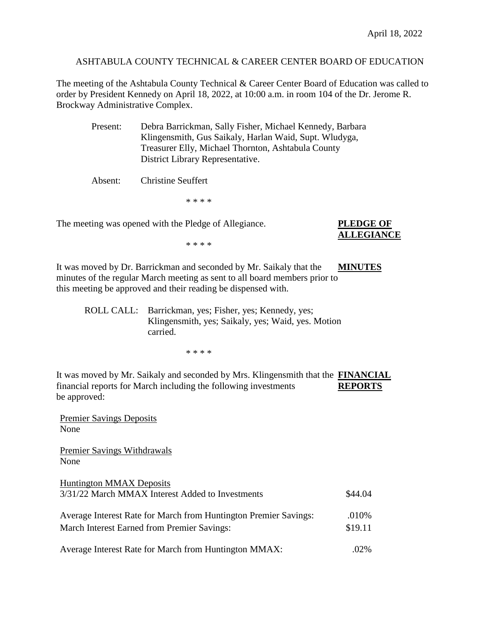ASHTABULA COUNTY TECHNICAL & CAREER CENTER BOARD OF EDUCATION

The meeting of the Ashtabula County Technical & Career Center Board of Education was called to order by President Kennedy on April 18, 2022, at 10:00 a.m. in room 104 of the Dr. Jerome R. Brockway Administrative Complex.

| Present: | Debra Barrickman, Sally Fisher, Michael Kennedy, Barbara<br>Klingensmith, Gus Saikaly, Harlan Waid, Supt. Wludyga,<br>Treasurer Elly, Michael Thornton, Ashtabula County<br>District Library Representative. |
|----------|--------------------------------------------------------------------------------------------------------------------------------------------------------------------------------------------------------------|
| Absent:  | <b>Christine Seuffert</b>                                                                                                                                                                                    |
|          | * * * *                                                                                                                                                                                                      |

The meeting was opened with the Pledge of Allegiance. **PLEDGE OF**

## **ALLEGIANCE**

\* \* \* \*

It was moved by Dr. Barrickman and seconded by Mr. Saikaly that the **MINUTES** minutes of the regular March meeting as sent to all board members prior to this meeting be approved and their reading be dispensed with.

ROLL CALL: Barrickman, yes; Fisher, yes; Kennedy, yes; Klingensmith, yes; Saikaly, yes; Waid, yes. Motion carried.

\* \* \* \*

It was moved by Mr. Saikaly and seconded by Mrs. Klingensmith that the **FINANCIAL** financial reports for March including the following investments **REPORTS** be approved:

Premier Savings Deposits None

Premier Savings Withdrawals None

Huntington MMAX Deposits 3/31/22 March MMAX Interest Added to Investments \$44.04

| Average Interest Rate for March from Huntington Premier Savings: | .010%   |
|------------------------------------------------------------------|---------|
| March Interest Earned from Premier Savings:                      | \$19.11 |
|                                                                  |         |

Average Interest Rate for March from Huntington MMAX: .02%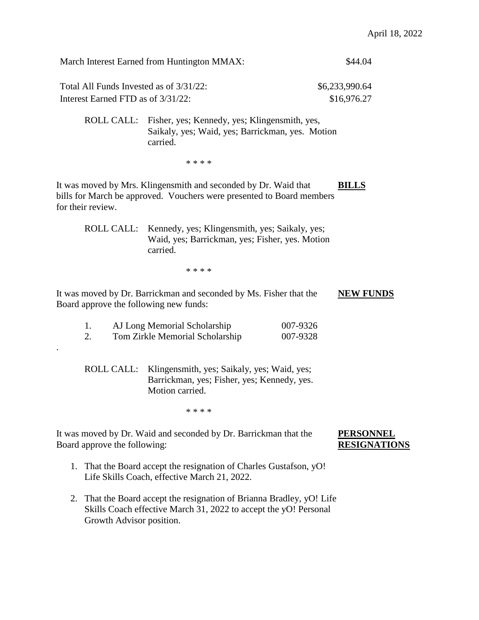|                                                                               | March Interest Earned from Huntington MMAX:                                                                                              |                      | \$44.04                                 |
|-------------------------------------------------------------------------------|------------------------------------------------------------------------------------------------------------------------------------------|----------------------|-----------------------------------------|
| Total All Funds Invested as of 3/31/22:<br>Interest Earned FTD as of 3/31/22: |                                                                                                                                          |                      | \$6,233,990.64<br>\$16,976.27           |
| ROLL CALL:                                                                    | Fisher, yes; Kennedy, yes; Klingensmith, yes,<br>Saikaly, yes; Waid, yes; Barrickman, yes. Motion<br>carried.                            |                      |                                         |
|                                                                               | * * * *                                                                                                                                  |                      |                                         |
| for their review.                                                             | It was moved by Mrs. Klingensmith and seconded by Dr. Waid that<br>bills for March be approved. Vouchers were presented to Board members |                      | <b>BILLS</b>                            |
|                                                                               | ROLL CALL: Kennedy, yes; Klingensmith, yes; Saikaly, yes;<br>Waid, yes; Barrickman, yes; Fisher, yes. Motion<br>carried.                 |                      |                                         |
|                                                                               | * * * *                                                                                                                                  |                      |                                         |
| Board approve the following new funds:                                        | It was moved by Dr. Barrickman and seconded by Ms. Fisher that the                                                                       |                      | <b>NEW FUNDS</b>                        |
| 1.<br>2.                                                                      | AJ Long Memorial Scholarship<br>Tom Zirkle Memorial Scholarship                                                                          | 007-9326<br>007-9328 |                                         |
| ROLL CALL:                                                                    | Klingensmith, yes; Saikaly, yes; Waid, yes;<br>Barrickman, yes; Fisher, yes; Kennedy, yes.<br>Motion carried.                            |                      |                                         |
|                                                                               | * * * *                                                                                                                                  |                      |                                         |
| Board approve the following:                                                  | It was moved by Dr. Waid and seconded by Dr. Barrickman that the                                                                         |                      | <b>PERSONNEL</b><br><b>RESIGNATIONS</b> |
|                                                                               | 1. That the Board accept the resignation of Charles Gustafson, yO!<br>Life Skills Coach, effective March 21, 2022.                       |                      |                                         |
| 2.<br>Growth Advisor position.                                                | That the Board accept the resignation of Brianna Bradley, yO! Life<br>Skills Coach effective March 31, 2022 to accept the yO! Personal   |                      |                                         |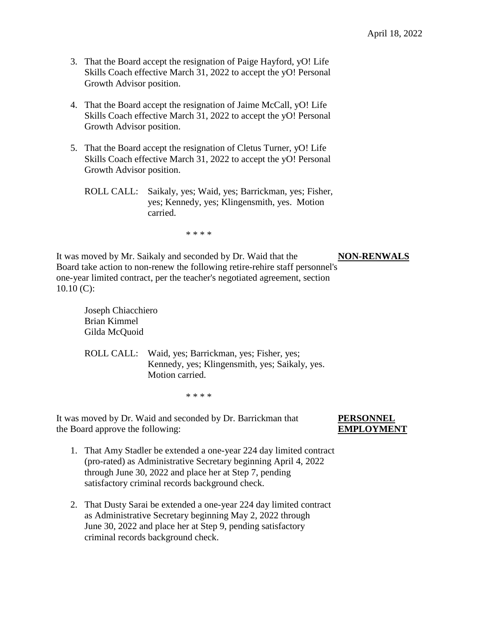- 3. That the Board accept the resignation of Paige Hayford, yO! Life Skills Coach effective March 31, 2022 to accept the yO! Personal Growth Advisor position.
- 4. That the Board accept the resignation of Jaime McCall, yO! Life Skills Coach effective March 31, 2022 to accept the yO! Personal Growth Advisor position.
- 5. That the Board accept the resignation of Cletus Turner, yO! Life Skills Coach effective March 31, 2022 to accept the yO! Personal Growth Advisor position.
	- ROLL CALL: Saikaly, yes; Waid, yes; Barrickman, yes; Fisher, yes; Kennedy, yes; Klingensmith, yes. Motion carried.

\* \* \* \*

It was moved by Mr. Saikaly and seconded by Dr. Waid that the **NON-RENWALS** Board take action to non-renew the following retire-rehire staff personnel's one-year limited contract, per the teacher's negotiated agreement, section  $10.10$  (C):

 Joseph Chiacchiero Brian Kimmel Gilda McQuoid

ROLL CALL: Waid, yes; Barrickman, yes; Fisher, yes; Kennedy, yes; Klingensmith, yes; Saikaly, yes. Motion carried.

\* \* \* \*

It was moved by Dr. Waid and seconded by Dr. Barrickman that **PERSONNEL**  the Board approve the following: **EMPLOYMENT**

- 1. That Amy Stadler be extended a one-year 224 day limited contract (pro-rated) as Administrative Secretary beginning April 4, 2022 through June 30, 2022 and place her at Step 7, pending satisfactory criminal records background check.
- 2. That Dusty Sarai be extended a one-year 224 day limited contract as Administrative Secretary beginning May 2, 2022 through June 30, 2022 and place her at Step 9, pending satisfactory criminal records background check.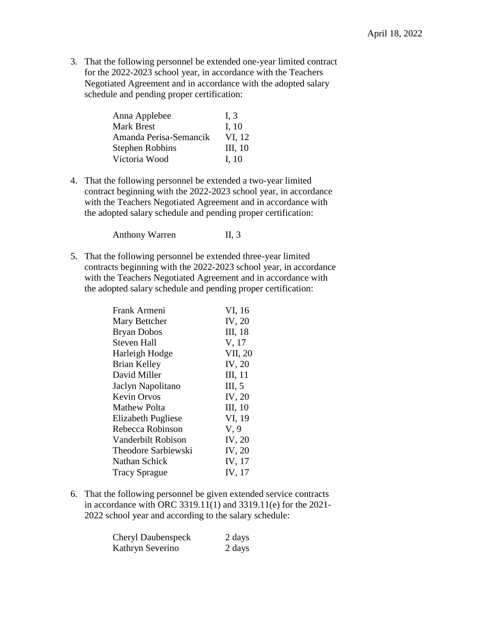3. That the following personnel be extended one-year limited contract for the 2022-2023 school year, in accordance with the Teachers Negotiated Agreement and in accordance with the adopted salary schedule and pending proper certification:

| I, $3$  |
|---------|
| I, $10$ |
| VI, 12  |
| III, 10 |
| I. 10   |
|         |

4. That the following personnel be extended a two-year limited contract beginning with the 2022-2023 school year, in accordance with the Teachers Negotiated Agreement and in accordance with the adopted salary schedule and pending proper certification:

Anthony Warren II, 3

5. That the following personnel be extended three-year limited contracts beginning with the 2022-2023 school year, in accordance with the Teachers Negotiated Agreement and in accordance with the adopted salary schedule and pending proper certification:

| Frank Armeni         | VI, 16  |
|----------------------|---------|
| Mary Bettcher        | IV, 20  |
| <b>Bryan Dobos</b>   | III, 18 |
| <b>Steven Hall</b>   | V, 17   |
| Harleigh Hodge       | VII, 20 |
| Brian Kelley         | IV, 20  |
| David Miller         | III, 11 |
| Jaclyn Napolitano    | III, 5  |
| <b>Kevin Orvos</b>   | IV, 20  |
| Mathew Polta         | III, 10 |
| Elizabeth Pugliese   | VI, 19  |
| Rebecca Robinson     | V, 9    |
| Vanderbilt Robison   | IV, 20  |
| Theodore Sarbiewski  | IV, 20  |
| Nathan Schick        | IV, 17  |
| <b>Tracy Sprague</b> | IV, 17  |

6. That the following personnel be given extended service contracts in accordance with ORC 3319.11(1) and 3319.11(e) for the 2021- 2022 school year and according to the salary schedule:

| <b>Cheryl Daubenspeck</b> | 2 days |
|---------------------------|--------|
| Kathryn Severino          | 2 days |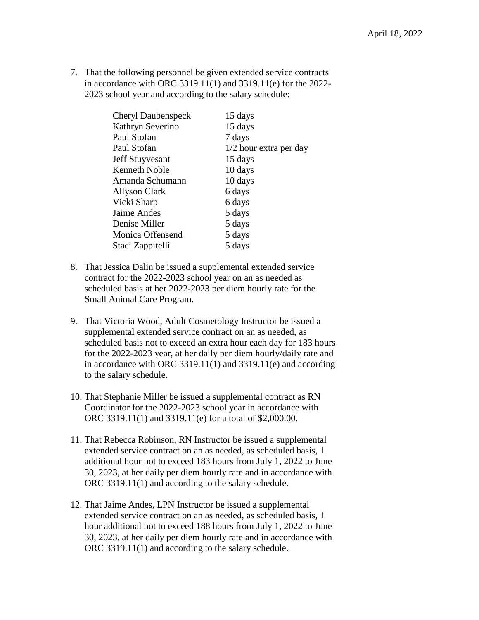7. That the following personnel be given extended service contracts in accordance with ORC 3319.11(1) and 3319.11(e) for the 2022- 2023 school year and according to the salary schedule:

| <b>Cheryl Daubenspeck</b> | 15 days                |
|---------------------------|------------------------|
| Kathryn Severino          | 15 days                |
| Paul Stofan               | 7 days                 |
| Paul Stofan               | 1/2 hour extra per day |
| <b>Jeff Stuyvesant</b>    | 15 days                |
| <b>Kenneth Noble</b>      | 10 days                |
| Amanda Schumann           | 10 days                |
| Allyson Clark             | 6 days                 |
| Vicki Sharp               | 6 days                 |
| Jaime Andes               | 5 days                 |
| Denise Miller             | 5 days                 |
| Monica Offensend          | 5 days                 |
| Staci Zappitelli          | 5 days                 |

- 8. That Jessica Dalin be issued a supplemental extended service contract for the 2022-2023 school year on an as needed as scheduled basis at her 2022-2023 per diem hourly rate for the Small Animal Care Program.
- 9. That Victoria Wood, Adult Cosmetology Instructor be issued a supplemental extended service contract on an as needed, as scheduled basis not to exceed an extra hour each day for 183 hours for the 2022-2023 year, at her daily per diem hourly/daily rate and in accordance with ORC 3319.11(1) and 3319.11(e) and according to the salary schedule.
- 10. That Stephanie Miller be issued a supplemental contract as RN Coordinator for the 2022-2023 school year in accordance with ORC 3319.11(1) and 3319.11(e) for a total of \$2,000.00.
- 11. That Rebecca Robinson, RN Instructor be issued a supplemental extended service contract on an as needed, as scheduled basis, 1 additional hour not to exceed 183 hours from July 1, 2022 to June 30, 2023, at her daily per diem hourly rate and in accordance with ORC 3319.11(1) and according to the salary schedule.
- 12. That Jaime Andes, LPN Instructor be issued a supplemental extended service contract on an as needed, as scheduled basis, 1 hour additional not to exceed 188 hours from July 1, 2022 to June 30, 2023, at her daily per diem hourly rate and in accordance with ORC 3319.11(1) and according to the salary schedule.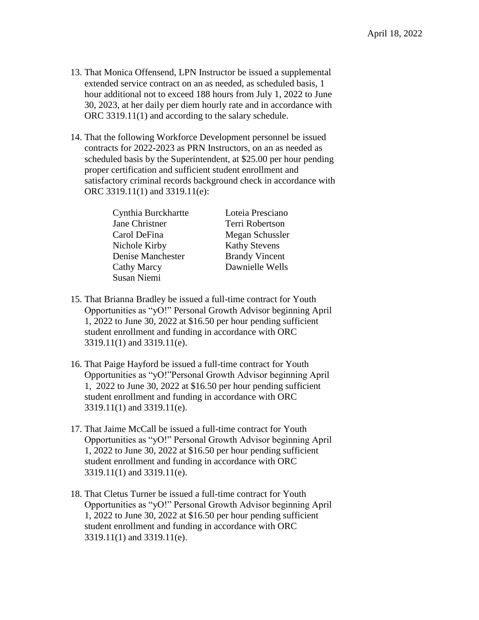- 13. That Monica Offensend, LPN Instructor be issued a supplemental extended service contract on an as needed, as scheduled basis, 1 hour additional not to exceed 188 hours from July 1, 2022 to June 30, 2023, at her daily per diem hourly rate and in accordance with ORC 3319.11(1) and according to the salary schedule.
- 14. That the following Workforce Development personnel be issued contracts for 2022-2023 as PRN Instructors, on an as needed as scheduled basis by the Superintendent, at \$25.00 per hour pending proper certification and sufficient student enrollment and satisfactory criminal records background check in accordance with ORC 3319.11(1) and 3319.11(e):

Cynthia Burckhartte Loteia Presciano Jane Christner Terri Robertson Carol DeFina Megan Schussler Nichole Kirby Kathy Stevens Denise Manchester Brandy Vincent Cathy Marcy Dawnielle Wells Susan Niemi

- 15. That Brianna Bradley be issued a full-time contract for Youth Opportunities as "yO!" Personal Growth Advisor beginning April 1, 2022 to June 30, 2022 at \$16.50 per hour pending sufficient student enrollment and funding in accordance with ORC 3319.11(1) and 3319.11(e).
- 16. That Paige Hayford be issued a full-time contract for Youth Opportunities as "yO!"Personal Growth Advisor beginning April 1, 2022 to June 30, 2022 at \$16.50 per hour pending sufficient student enrollment and funding in accordance with ORC 3319.11(1) and 3319.11(e).
- 17. That Jaime McCall be issued a full-time contract for Youth Opportunities as "yO!" Personal Growth Advisor beginning April 1, 2022 to June 30, 2022 at \$16.50 per hour pending sufficient student enrollment and funding in accordance with ORC 3319.11(1) and 3319.11(e).
- 18. That Cletus Turner be issued a full-time contract for Youth Opportunities as "yO!" Personal Growth Advisor beginning April 1, 2022 to June 30, 2022 at \$16.50 per hour pending sufficient student enrollment and funding in accordance with ORC 3319.11(1) and 3319.11(e).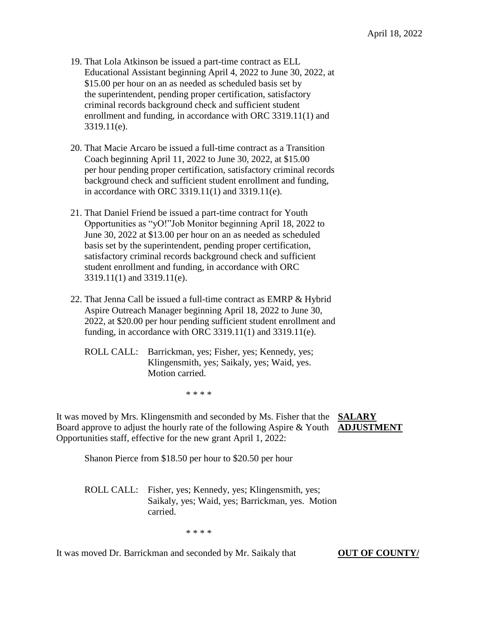- 19. That Lola Atkinson be issued a part-time contract as ELL Educational Assistant beginning April 4, 2022 to June 30, 2022, at \$15.00 per hour on an as needed as scheduled basis set by the superintendent, pending proper certification, satisfactory criminal records background check and sufficient student enrollment and funding, in accordance with ORC 3319.11(1) and 3319.11(e).
- 20. That Macie Arcaro be issued a full-time contract as a Transition Coach beginning April 11, 2022 to June 30, 2022, at \$15.00 per hour pending proper certification, satisfactory criminal records background check and sufficient student enrollment and funding, in accordance with ORC 3319.11(1) and 3319.11(e).
- 21. That Daniel Friend be issued a part-time contract for Youth Opportunities as "yO!"Job Monitor beginning April 18, 2022 to June 30, 2022 at \$13.00 per hour on an as needed as scheduled basis set by the superintendent, pending proper certification, satisfactory criminal records background check and sufficient student enrollment and funding, in accordance with ORC 3319.11(1) and 3319.11(e).
- 22. That Jenna Call be issued a full-time contract as EMRP & Hybrid Aspire Outreach Manager beginning April 18, 2022 to June 30, 2022, at \$20.00 per hour pending sufficient student enrollment and funding, in accordance with ORC 3319.11(1) and 3319.11(e).
	- ROLL CALL: Barrickman, yes; Fisher, yes; Kennedy, yes; Klingensmith, yes; Saikaly, yes; Waid, yes. Motion carried.

\* \* \* \*

It was moved by Mrs. Klingensmith and seconded by Ms. Fisher that the **SALARY** Board approve to adjust the hourly rate of the following Aspire & Youth **ADJUSTMENT** Opportunities staff, effective for the new grant April 1, 2022:

Shanon Pierce from \$18.50 per hour to \$20.50 per hour

ROLL CALL: Fisher, yes; Kennedy, yes; Klingensmith, yes; Saikaly, yes; Waid, yes; Barrickman, yes. Motion carried.

\* \* \* \*

It was moved Dr. Barrickman and seconded by Mr. Saikaly that **OUT OF COUNTY**/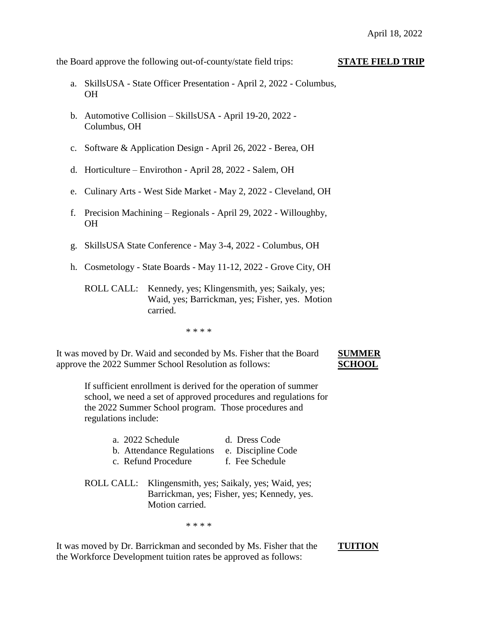the Board approve the following out-of-county/state field trips: **STATE FIELD TRIP**

- a. SkillsUSA State Officer Presentation April 2, 2022 Columbus, OH
- b. Automotive Collision SkillsUSA April 19-20, 2022 Columbus, OH
- c. Software & Application Design April 26, 2022 Berea, OH
- d. Horticulture Envirothon April 28, 2022 Salem, OH
- e. Culinary Arts West Side Market May 2, 2022 Cleveland, OH
- f. Precision Machining Regionals April 29, 2022 Willoughby, OH
- g. SkillsUSA State Conference May 3-4, 2022 Columbus, OH
- h. Cosmetology State Boards May 11-12, 2022 Grove City, OH
	- ROLL CALL: Kennedy, yes; Klingensmith, yes; Saikaly, yes; Waid, yes; Barrickman, yes; Fisher, yes. Motion carried.

\* \* \* \*

It was moved by Dr. Waid and seconded by Ms. Fisher that the Board **SUMMER** approve the 2022 Summer School Resolution as follows: **SCHOOL**

If sufficient enrollment is derived for the operation of summer school, we need a set of approved procedures and regulations for the 2022 Summer School program. Those procedures and regulations include:

| a. 2022 Schedule          | d. Dress Code                                                                                         |
|---------------------------|-------------------------------------------------------------------------------------------------------|
| b. Attendance Regulations | e. Discipline Code                                                                                    |
| c. Refund Procedure       | f. Fee Schedule                                                                                       |
| Motion carried.           | ROLL CALL: Klingensmith, yes; Saikaly, yes; Waid, yes;<br>Barrickman, yes; Fisher, yes; Kennedy, yes. |

\* \* \* \*

It was moved by Dr. Barrickman and seconded by Ms. Fisher that the **TUITION** the Workforce Development tuition rates be approved as follows: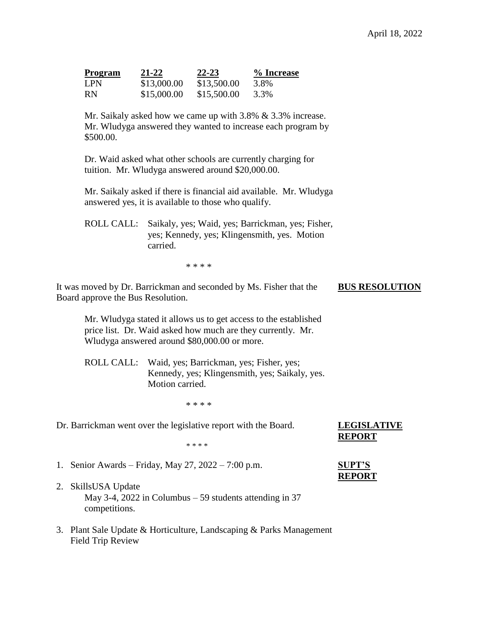| <b>Program</b> | 21-22       | $22 - 23$   | % Increase |
|----------------|-------------|-------------|------------|
| <b>LPN</b>     | \$13,000.00 | \$13,500.00 | 3.8%       |
| <b>RN</b>      | \$15,000.00 | \$15,500.00 | 3.3%       |

Mr. Saikaly asked how we came up with 3.8% & 3.3% increase. Mr. Wludyga answered they wanted to increase each program by \$500.00.

Dr. Waid asked what other schools are currently charging for tuition. Mr. Wludyga answered around \$20,000.00.

Mr. Saikaly asked if there is financial aid available. Mr. Wludyga answered yes, it is available to those who qualify.

ROLL CALL: Saikaly, yes; Waid, yes; Barrickman, yes; Fisher, yes; Kennedy, yes; Klingensmith, yes. Motion carried.

\* \* \* \*

It was moved by Dr. Barrickman and seconded by Ms. Fisher that the **BUS RESOLUTION** Board approve the Bus Resolution.

Mr. Wludyga stated it allows us to get access to the established price list. Dr. Waid asked how much are they currently. Mr. Wludyga answered around \$80,000.00 or more.

ROLL CALL: Waid, yes; Barrickman, yes; Fisher, yes; Kennedy, yes; Klingensmith, yes; Saikaly, yes. Motion carried.

\* \* \* \*

Dr. Barrickman went over the legislative report with the Board. **LEGISLATIVE** 

\* \* \* \*

1. Senior Awards – Friday, May 27, 2022 – 7:00 p.m. **SUPT'S**

- 2. SkillsUSA Update May 3-4, 2022 in Columbus – 59 students attending in 37 competitions.
- 3. Plant Sale Update & Horticulture, Landscaping & Parks Management Field Trip Review

**REPORT**

# **REPORT**